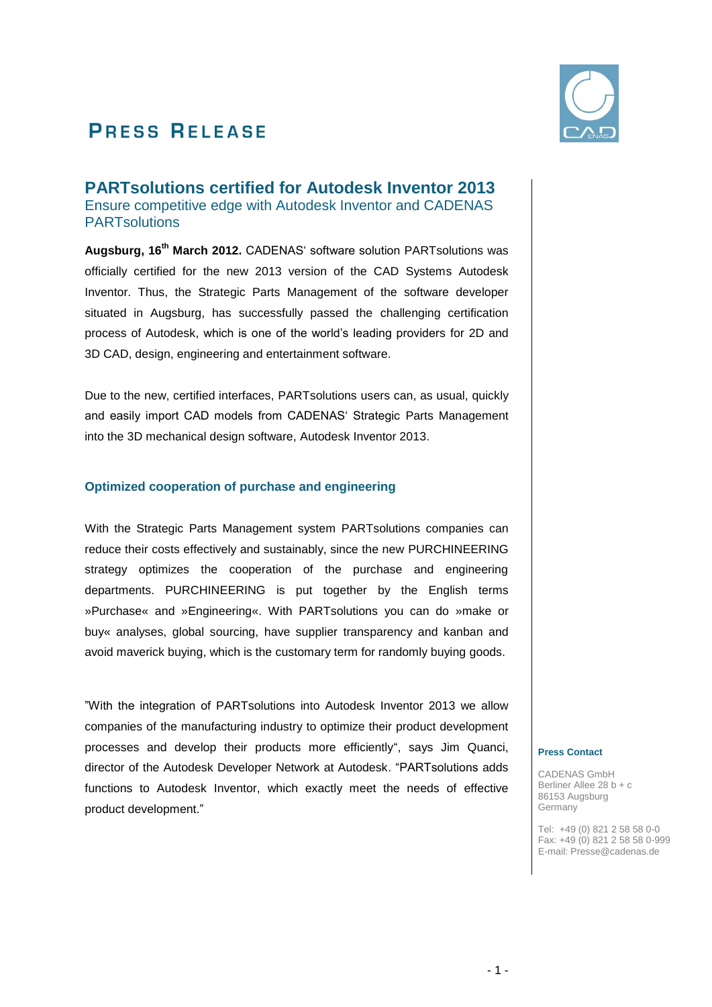# **PRESS RELEASE**



**PARTsolutions certified for Autodesk Inventor 2013**  Ensure competitive edge with Autodesk Inventor and CADENAS **PARTsolutions** 

**Augsburg, 16 th March 2012.** CADENAS" software solution PARTsolutions was officially certified for the new 2013 version of the CAD Systems Autodesk Inventor. Thus, the Strategic Parts Management of the software developer situated in Augsburg, has successfully passed the challenging certification process of Autodesk, which is one of the world"s leading providers for 2D and 3D CAD, design, engineering and entertainment software.

Due to the new, certified interfaces, PARTsolutions users can, as usual, quickly and easily import CAD models from CADENAS" Strategic Parts Management into the 3D mechanical design software, Autodesk Inventor 2013.

### **Optimized cooperation of purchase and engineering**

With the Strategic Parts Management system PARTsolutions companies can reduce their costs effectively and sustainably, since the new PURCHINEERING strategy optimizes the cooperation of the purchase and engineering departments. PURCHINEERING is put together by the English terms »Purchase« and »Engineering«. With PARTsolutions you can do »make or buy« analyses, global sourcing, have supplier transparency and kanban and avoid maverick buying, which is the customary term for randomly buying goods.

"With the integration of PARTsolutions into Autodesk Inventor 2013 we allow companies of the manufacturing industry to optimize their product development processes and develop their products more efficiently", says Jim Quanci, director of the Autodesk Developer Network at Autodesk. "PARTsolutions adds functions to Autodesk Inventor, which exactly meet the needs of effective product development."

#### **Press Contact**

CADENAS GmbH Berliner Allee 28 b + c 86153 Augsburg Germany

Tel: +49 (0) 821 2 58 58 0-0 Fax: +49 (0) 821 2 58 58 0-999 E-mail: Presse@cadenas.de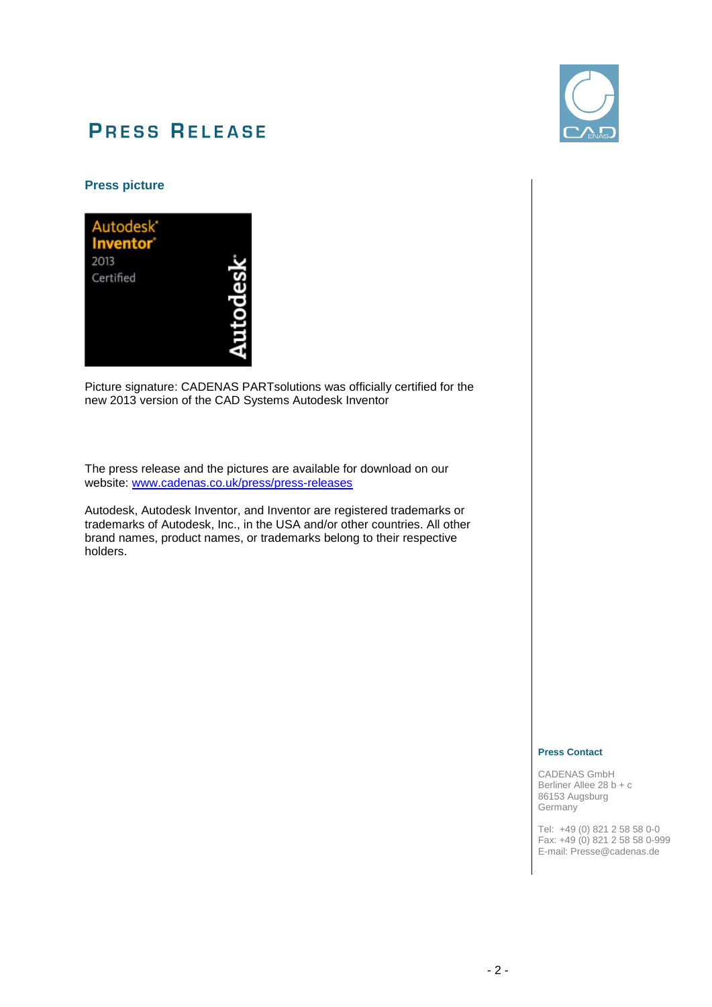

# **PRESS RELEASE**

### **Press picture**

Picture signature: CADENAS PARTsolutions was officially certified for the new 2013 version of the CAD Systems Autodesk Inventor

The press release and the pictures are available for download on our website: www.cadenas.co.uk/press/press-releases

Autodesk, Autodesk Inventor, and Inventor are registered trademarks or trademarks of Autodesk, Inc., in the USA and/or other countries. All other brand names, product names, or trademarks belong to their respective holders.

#### **Press Contact**

CADENAS GmbH Berliner Allee 28 b + c 86153 Augsburg **Germany** 

Tel: +49 (0) 821 2 58 58 0-0 Fax: +49 (0) 821 2 58 58 0-999 E-mail: Presse@cadenas.de